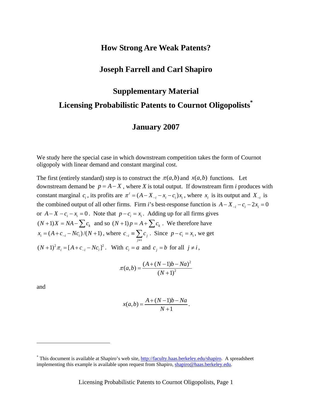# **How Strong Are Weak Patents?**

# **Joseph Farrell and Carl Shapiro**

# **Supplementary Material Licensing Probabilistic Patents to Cournot Oligopolist[s](#page-0-0)\***

# **January 2007**

We study here the special case in which downstream competition takes the form of Cournot oligopoly with linear demand and constant marginal cost.

The first (entirely standard) step is to construct the  $\pi(a,b)$  and  $x(a,b)$  functions. Let downstream demand be  $p = A - X$ , where *X* is total output. If downstream firm *i* produces with constant marginal  $c_i$ , its profits are  $\pi^i = (A - X_{-i} - x_i - c_i)x_i$ , where  $x_i$  is its output and  $X_{-i}$  is the combined output of all other firms. Firm *i*'s best-response function is  $A - X_{-i} - c_i - 2x_i = 0$ or  $A - X - c_i - x_i = 0$ . Note that  $p - c_i = x_i$ . Adding up for all firms gives  $(N+1)X = NA - \sum c_k$  and so  $(N+1)p = A + \sum c_k$ . We therefore have  $(x_i = (A + c_{-i} - Nc_i)/(N + 1)$ , where  $c_{-i} = \sum c_i$  $j \neq i$ *c*−  $\equiv \sum_{j \neq i} c_j$ . Since  $p - c_i = x_i$ , we get  $(N+1)^2 \pi_i = [A + c_{-i} - Nc_i]^2$ . With  $c_i = a$  and  $c_j = b$  for all  $j \neq i$ ,

$$
\pi(a,b) = \frac{(A + (N-1)b - Na)^2}{(N+1)^2}
$$

and

<u>.</u>

$$
x(a,b) = \frac{A + (N-1)b - Na}{N+1}.
$$

<span id="page-0-0"></span><sup>&</sup>lt;sup>\*</sup> This document is available at Shapiro's web site,<http://faculty.haas.berkeley.edu/shapiro>. A spreadsheet implementing this example is available upon request from Shapiro, [shapiro@haas.berkeley.edu](mailto:shapiro@haas.berkeley.edu).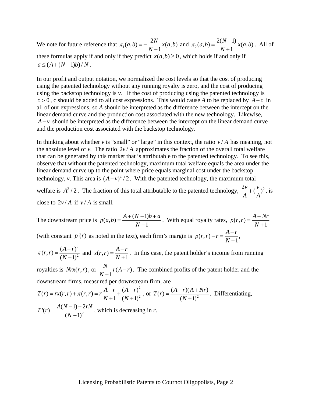We note for future reference that  $\pi_1(a, b) = -\frac{2N}{N+1}x(a, b)$  $\pi_1(a,b) = -\frac{2N}{N+1}x(a,b)$  and  $\pi_2(a,b) = \frac{2(N-1)}{N+1}x(a,b)$  $\pi_2(a,b) = \frac{2(N-1)}{N+1}x(a,b)$ . All of these formulas apply if and only if they predict  $x(a,b) \ge 0$ , which holds if and only if  $a \leq (A + (N-1)b)/N$ .

In our profit and output notation, we normalized the cost levels so that the cost of producing using the patented technology without any running royalty is zero, and the cost of producing using the backstop technology is *v.* If the cost of producing using the patented technology is *c* > 0 , c should be added to all cost expressions. This would cause *A* to be replaced by *A*− *c* in all of our expressions, so *A* should be interpreted as the difference between the intercept on the linear demand curve and the production cost associated with the new technology. Likewise, *A*−*v* should be interpreted as the difference between the intercept on the linear demand curve and the production cost associated with the backstop technology.

In thinking about whether  $v$  is "small" or "large" in this context, the ratio  $v/A$  has meaning, not the absolute level of *v*. The ratio  $2v/A$  approximates the fraction of the overall total welfare that can be generated by this market that is attributable to the patented technology. To see this, observe that without the patented technology, maximum total welfare equals the area under the linear demand curve up to the point where price equals marginal cost under the backstop technology, *v*. This area is  $(A - v)^2 / 2$ . With the patented technology, the maximum total welfare is  $A^2/2$ . The fraction of this total attributable to the patented technology,  $\frac{2v}{2} + (\frac{v}{c})^2$ 

*A A*  $+(-)^2$ , is close to  $2v/A$  if  $v/A$  is small.

The downstream price is  $p(a,b) = \frac{A + (N-1)b}{N+1}$  $=\frac{A+(N-1)b+a}{N+1}$ . With equal royalty rates,  $p(r,r) = \frac{A+Nr}{N+1}$  $=\frac{A+I}{N+1}$ (with constant  $p'(r)$  as noted in the text), each firm's margin is  $p(r,r) - r = \frac{A - r}{N + 1}$  $-r = \frac{A-r}{N+1},$ 2

 $(r, r) = \frac{(A - r)^2}{(N + 1)^2}$  $\pi(r, r) = \frac{(A - r)^2}{(N + 1)^2}$  and  $x(r, r) = \frac{A - r}{N + 1}$  $=\frac{A-r}{N+1}$ . In this case, the patent holder's income from running

royalties is  $Nrx(r,r)$ , or  $\frac{N}{N+1}r(A-r)$ . The combined profits of the patent holder and the downstream firms, measured per downstream firm, are

$$
T(r) = rx(r, r) + \pi(r, r) = r\frac{A - r}{N + 1} + \frac{(A - r)^2}{(N + 1)^2}
$$
, or  $T(r) = \frac{(A - r)(A + Nr)}{(N + 1)^2}$ . Differentiating,  

$$
T'(r) = \frac{A(N - 1) - 2rN}{(N + 1)^2}
$$
, which is decreasing in r.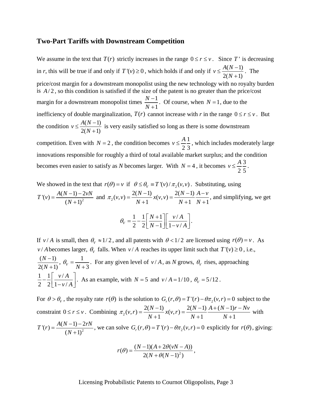#### **Two-Part Tariffs with Downstream Competition**

We assume in the text that  $T(r)$  strictly increases in the range  $0 \le r \le v$ . Since T' is decreasing in *r*, this will be true if and only if  $T'(v) \ge 0$ , which holds if and only if  $v \le \frac{A(N-1)}{2(N-1)}$  $2(N+1)$  $v \leq \frac{A(N)}{2}$ *N*  $\leq \frac{A(N-1)}{2}$ +  $\frac{1}{2}$ . The price/cost margin for a downstream monopolist using the new technology with no royalty burden is  $A/2$ , so this condition is satisfied if the size of the patent is no greater than the price/cost margin for a downstream monopolist times  $\frac{N-1}{N}$ 1 *N N* − + . Of course, when  $N = 1$ , due to the inefficiency of double marginalization,  $T(r)$  cannot increase with *r* in the range  $0 \le r \le v$ . But the condition  $v \leq \frac{A(N-1)}{N}$  $2(N+1)$  $v \leq \frac{A(N)}{N}$ *N*  $\leq \frac{A(N-1)}{2}$ +  $\frac{1}{x}$  is very easily satisfied so long as there is some downstream competition. Even with  $N = 2$ , the condition becomes  $v \leq \frac{A}{R} \frac{1}{r}$ 2 3  $v \leq \frac{A}{2}$ , which includes moderately large innovations responsible for roughly a third of total available market surplus; and the condition becomes even easier to satisfy as *N* becomes larger. With  $N = 4$ , it becomes  $v \leq \frac{A}{s} \leq \frac{3}{s}$ 2 5  $v \leq \frac{A}{2} \frac{3}{4}$ .

We showed in the text that 
$$
r(\theta) = v
$$
 if  $\theta \le \theta_v \equiv T'(v)/\pi_2(v, v)$ . Substituting, using  
\n
$$
T'(v) = \frac{A(N-1) - 2vN}{(N+1)^2}
$$
 and  $\pi_2(v, v) = \frac{2(N-1)}{N+1}x(v, v) = \frac{2(N-1)}{N+1}\frac{A-v}{N+1}$ , and simplifying, we get  
\n
$$
\theta_v = \frac{1}{2} - \frac{1}{2} \left[ \frac{N+1}{N-1} \right] \left[ \frac{v/A}{1-v/A} \right].
$$

If *v* / *A* is small, then  $\theta_v \approx 1/2$ , and all patents with  $\theta < 1/2$  are licensed using  $r(\theta) = v$ . As *v* / *A* becomes larger,  $\theta_V$  falls. When *v* / *A* reaches its upper limit such that  $T'(v) \ge 0$ , i.e.,  $(N-1)$  $2(N+1)$ *N N*  $\frac{(-1)}{(-1)}$ ,  $\theta_v = \frac{1}{N+3}$ . For any given level of *v* / *A*, as *N* grows,  $\theta_v$  rises, approaching  $1 \quad 1 \quad \nu/$ 2 2  $\lfloor 1 - v / \rfloor$ *v A*  $-\frac{1}{2} \left[ \frac{v/A}{1-v/A} \right]$  $\left| \right|$ . As an example, with *N* = 5 and *v* / *A* = 1/10,  $\theta_v$  = 5/12.

For  $\theta > \theta_V$ , the royalty rate  $r(\theta)$  is the solution to  $G_r(r, \theta) = T'(r) - \theta \pi_2(v, r) = 0$  subject to the constraint  $0 \le r \le \nu$ . Combining  $\pi_2(\nu, r) = \frac{2(N-1)}{N+1} x(\nu, r) = \frac{2(N-1)}{N+1} \frac{A + (N-1)}{N+1}$  $\pi_2(v,r) = \frac{2(N-1)}{N+1}x(v,r) = \frac{2(N-1)}{N+1}\frac{A+(N-1)r-Nv}{N+1}$  with  $T'(r) = \frac{A(N-1)-2}{(N+1)^2}$  $=\frac{A(N-1)-2rN}{(N+1)^2}$ , we can solve  $G_r(r,\theta) = T'(r) - \theta \pi_2(v,r) = 0$  explicitly for  $r(\theta)$ , giving:

$$
r(\theta) = \frac{(N-1)(A + 2\theta(\nu N - A))}{2(N + \theta(N-1)^2)},
$$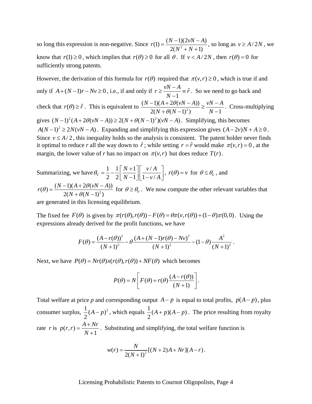so long this expression is non-negative. Since  $r(1) = \frac{(N-1)(2\nu N - A)}{2(N^2 + N + 1)}$  $=\frac{(N-1)(2vN-A)}{2(N^2+N+1)}$ , so long as  $v \ge A/2N$ , we know that  $r(1) \ge 0$ , which implies that  $r(\theta) \ge 0$  for all  $\theta$ . If  $v < A/2N$ , then  $r(\theta) = 0$  for sufficiently strong patents.

However, the derivation of this formula for  $r(\theta)$  required that  $\pi(v, r) \ge 0$ , which is true if and only if  $A + (N-1)r - Nv ≥ 0$ , i.e., if and only if  $r ≥ \frac{vN-A}{N-1} \equiv \hat{r}$  $\geq \frac{vN-A}{N-1}$  =  $\hat{r}$ . So we need to go back and check that  $r(\theta) \ge \hat{r}$ . This is equivalent to  $\frac{(N-1)(A+2\theta(\nu N-A))}{2(N-A)(N-1)^2}$  $2(N + \theta(N-1)^2)$   $N-1$  $N-1$  $(A+2\theta(vN-A)) \sim vN$  $N + \theta(N-1)^2$  *N*  $\theta(\nu N-A)) \setminus \nu N-A$  $\frac{-1(A + 2\theta(vN-A))}{2(N+\theta(N-1)^2)} \geq \frac{vN-A}{N-A}$  $+\theta(N-1)^2$   $N$ gives  $(N-1)^2(A+2\theta(\nu N-A)) \geq 2(N+\theta(N-1)^2)(\nu N-A)$ . Simplifying, this becomes  $A(N-1)^2 \ge 2N(vN-A)$ . Expanding and simplifying this expression gives  $(A-2v)N+A \ge 0$ . . Cross-multiplying Since  $v \le A/2$ , this inequality holds so the analysis is consistent. The patent holder never finds it optimal to reduce *r* all the way down to  $\hat{r}$ ; while setting  $r = \hat{r}$  would make  $\pi(v, r) = 0$ , at the margin, the lower value of *r* has no impact on  $\pi(v,r)$  but does reduce  $T(r)$ .

Summarizing, we have  $\theta_v = \frac{1}{2} - \frac{1}{2} \left[ \frac{N+1}{N+1} \right] \left[ \frac{v}{N+1} \right]$  $\overline{v}$   $\overline{2}$   $\overline{2}$   $\overline{N-1}$   $\overline{1-v}$  $N+1$ <sup> $\vert \bar{v} \rangle$  *v* / *A*</sup>  $N-1$   $\lfloor 1-v/A \rfloor$ ⎤  $\theta_v = \frac{1}{2} - \frac{1}{2} \left[ \frac{N+1}{N-1} \right] \left[ \frac{v/A}{1-v/A} \right]$ ,  $r(\theta) = v$  for  $\theta \le \theta_v$ , and  $r(\theta) = \frac{(N-1)(A+2\theta(vN-A))}{2(N+\theta(N-1)^2)}$  $N + \theta(N)$  $\theta$  =  $\frac{(N-1)(A+2\theta(\nu N-A))}{(N-1)^2}$  $=\frac{(N-1)(A+2\theta(\nu N-A))}{2(N+\theta(N-1)^2)}$  for  $\theta \ge \theta_V$ . We now compute the other relevant variables that

are generated in this licensing equilibrium.

The fixed fee  $F(\theta)$  is given by  $\pi(r(\theta), r(\theta)) - F(\theta) = \theta \pi(v, r(\theta)) + (1 - \theta) \pi(0,0)$ . Using the expressions already derived for the profit functions, we have

$$
F(\theta) = \frac{(A - r(\theta))^2}{(N+1)^2} - \theta \frac{(A + (N-1)r(\theta) - Nv)^2}{(N+1)^2} - (1-\theta) \frac{A^2}{(N+1)^2}.
$$

Next, we have  $P(\theta) = Nr(\theta)x(r(\theta), r(\theta)) + NF(\theta)$  which becomes

$$
P(\theta) = N \left[ F(\theta) + r(\theta) \frac{(A - r(\theta))}{(N + 1)} \right].
$$

Total welfare at price *p* and corresponding output  $A - p$  is equal to total profits,  $p(A - p)$ , plus consumer surplus,  $\frac{1}{2}(A-p)^2$  $\frac{1}{2}(A-p)^2$ , which equals  $\frac{1}{2}(A+p)(A-p)$ . The price resulting from royalty rate *r* is  $p(r,r) = \frac{A + Nr}{N+1}$  $=\frac{A+Nr}{N+1}$ . Substituting and simplifying, the total welfare function is

$$
w(r) = \frac{N}{2(N+1)^2} [(N+2)A + Nr](A-r).
$$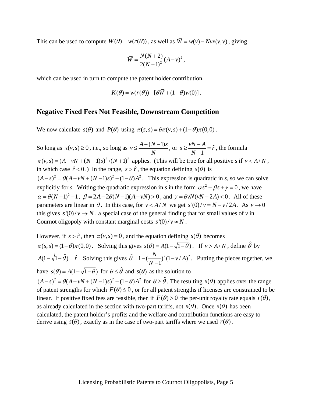This can be used to compute  $W(\theta) = w(r(\theta))$ , as well as  $\overline{W} = w(v) - Nvx(v, v)$ , giving

$$
\overline{W} = \frac{N(N+2)}{2(N+1)^2} (A - v)^2,
$$

which can be used in turn to compute the patent holder contribution,

$$
K(\theta) = w(r(\theta)) - [\theta \overline{W} + (1 - \theta) w(0)].
$$

## **Negative Fixed Fees Not Feasible, Downstream Competition**

We now calculate  $s(\theta)$  and  $P(\theta)$  using  $\pi(s,s) = \theta \pi(v,s) + (1-\theta) \pi(0,0)$ .

So long as  $x(v, s) \ge 0$ , i.e., so long as  $v \le \frac{A + (N-1)}{v}$  $\leq \frac{A + (N-1)s}{N}$ , or  $s \geq \frac{vN-A}{N-1} \equiv \hat{r}$  $\geq \frac{vN-A}{N-1} \equiv \hat{r}$ , the formula  $\pi(v, s) = (A - vN + (N - 1)s)^2 / (N + 1)^2$  applies. (This will be true for all positive *s* if  $v < A/N$ , in which case  $\hat{r} < 0$ .) In the range,  $s > \hat{r}$ , the equation defining  $s(\theta)$  is  $(A-s)^2 = \theta(A-vN+(N-1)s)^2 + (1-\theta)A^2$ . This expression is quadratic in *s*, so we can solve explicitly for *s*. Writing the quadratic expression in *s* in the form  $\alpha s^2 + \beta s + \gamma = 0$ , we have  $\alpha = \theta (N-1)^2 - 1$ ,  $\beta = 2A + 2\theta (N-1)(A - vN) > 0$ , and  $\gamma = \theta vN(vN-2A) < 0$ . All of these parameters are linear in  $\theta$ . In this case, for  $v < A/N$  we get  $s'(0)/v = N - v/2A$ . As  $v \to 0$ this gives  $s'(0)/v \rightarrow N$ , a special case of the general finding that for small values of v in Cournot oligopoly with constant marginal costs  $s'(0)/v \approx N$ .

However, if  $s > \hat{r}$ , then  $\pi(v, s) = 0$ , and the equation defining  $s(\theta)$  becomes  $\pi(s, s) = (1 - \theta)\pi(0, 0)$ . Solving this gives  $s(\theta) = A(1 - \sqrt{1 - \theta})$ . If  $v > A/N$ , define  $\hat{\theta}$  by  $A(1 - \sqrt{1 - \hat{\theta}}) = \hat{r}$ . Solving this gives  $\hat{\theta} = 1 - \left(\frac{N}{N-1}\right)^2 (1 - v/A)$  $\hat{\theta} = 1 - \left(\frac{N}{N-1}\right)^2 (1 - v/A)^2$ . Putting the pieces together, we have  $s(\theta) = A(1 - \sqrt{1 - \theta})$  for  $\theta \le \hat{\theta}$  and  $s(\theta)$  as the solution to  $(A-s)^2 = \theta(A-vN+(N-1)s)^2 + (1-\theta)A^2$  for  $\theta \ge \hat{\theta}$ . The resulting  $s(\theta)$  applies over the range of patent strengths for which  $F(\theta) \le 0$ , or for all patent strengths if licenses are constrained to be linear. If positive fixed fees are feasible, then if  $F(\theta) > 0$  the per-unit royalty rate equals  $r(\theta)$ , as already calculated in the section with two-part tariffs, not  $s(\theta)$ . Once  $s(\theta)$  has been calculated, the patent holder's profits and the welfare and contribution functions are easy to derive using  $s(\theta)$ , exactly as in the case of two-part tariffs where we used  $r(\theta)$ .